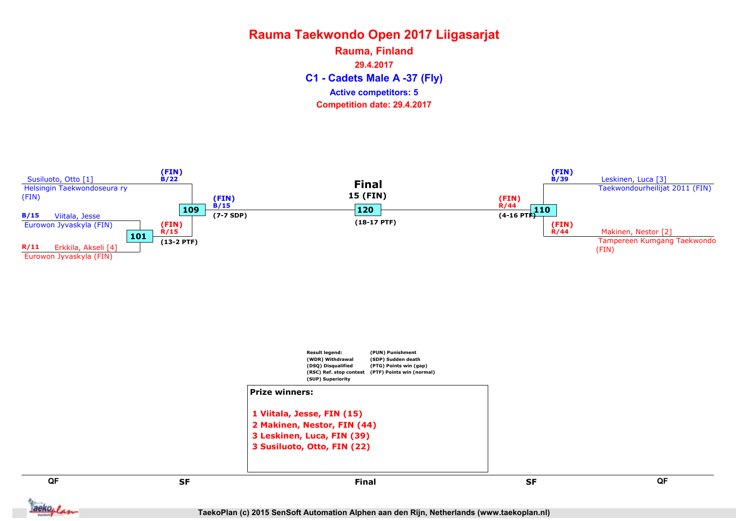C1 - Cadets Male A -37 (Fly) Rauma, Finland 29.4.2017 Competition date: 29.4.2017 Active competitors: 5

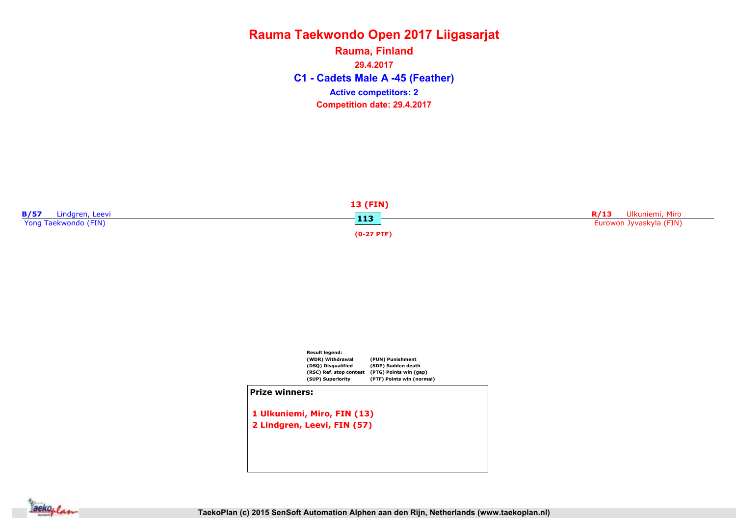C1 - Cadets Male A -45 (Feather) Rauma, Finland 29.4.2017 Competition date: 29.4.2017 Active competitors: 2





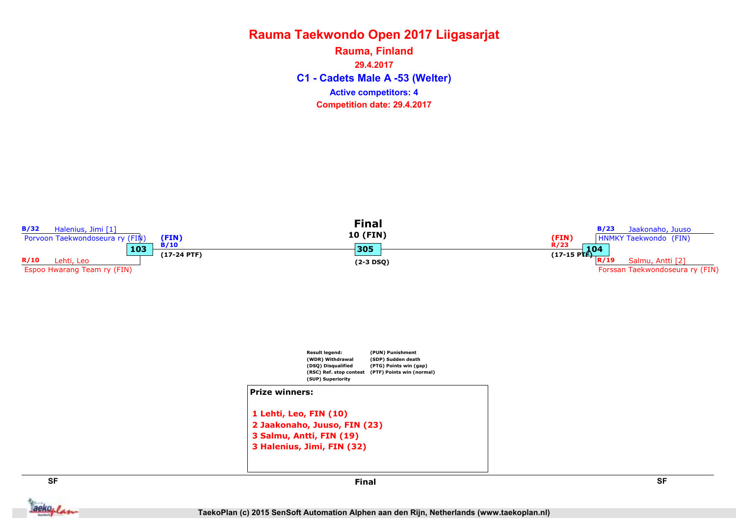C1 - Cadets Male A -53 (Welter) Rauma, Finland 29.4.2017 Competition date: 29.4.2017 Active competitors: 4

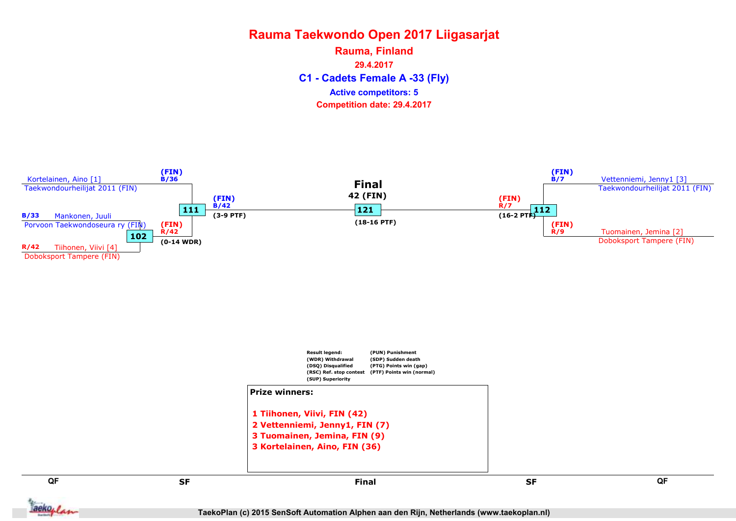C1 - Cadets Female A -33 (Fly) Rauma, Finland 29.4.2017 Competition date: 29.4.2017 Active competitors: 5



TaekoPlan (c) 2015 SenSoft Automation Alphen aan den Rijn, Netherlands (www.taekoplan.nl)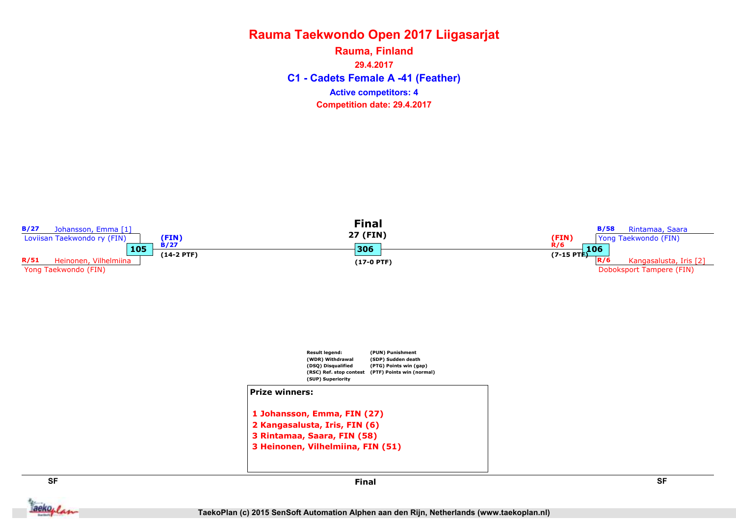C1 - Cadets Female A -41 (Feather) Rauma, Finland 29.4.2017 Competition date: 29.4.2017 Active competitors: 4



aekoplan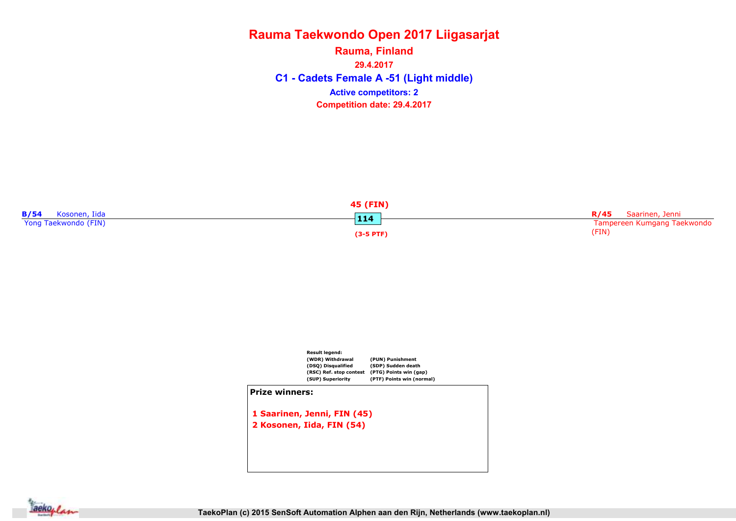C1 - Cadets Female A -51 (Light middle) Rauma, Finland 29.4.2017 Competition date: 29.4.2017 Active competitors: 2





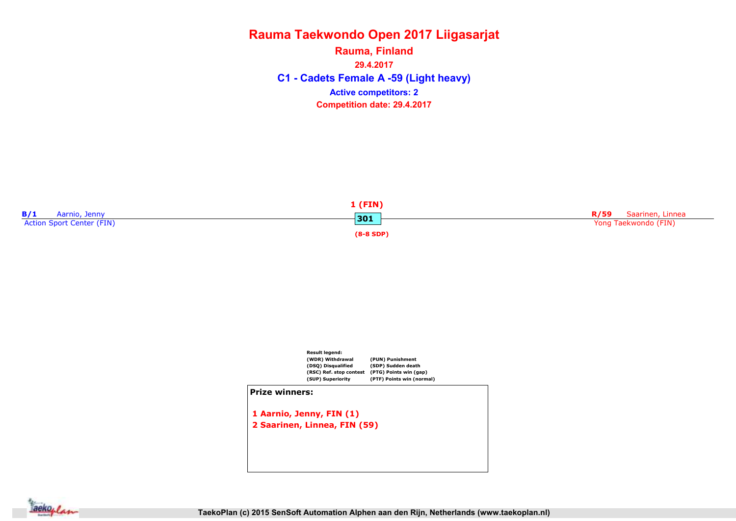C1 - Cadets Female A -59 (Light heavy) Rauma, Finland 29.4.2017 Competition date: 29.4.2017 Active competitors: 2





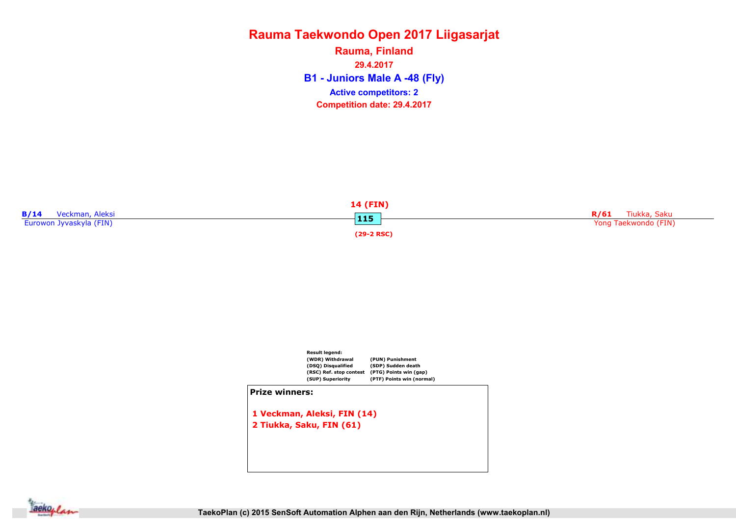B1 - Juniors Male A -48 (Fly) Rauma, Finland 29.4.2017 Competition date: 29.4.2017 Active competitors: 2





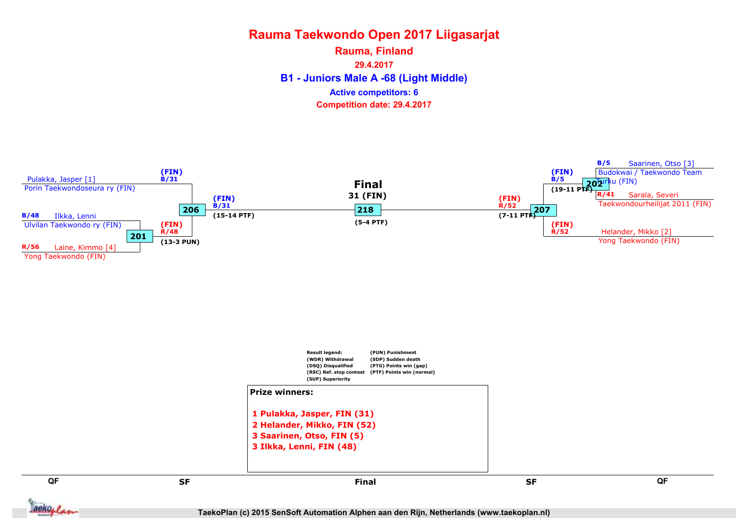B1 - Juniors Male A -68 (Light Middle) Rauma, Finland 29.4.2017 Competition date: 29.4.2017 Active competitors: 6



QF QF

aekoplan

set and the set of the set of the set of the set of the set of the set of the set of the set of the set of the Final

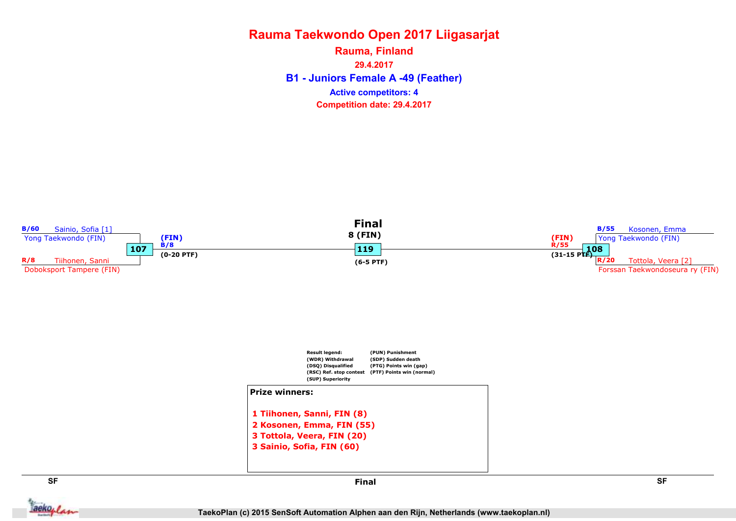B1 - Juniors Female A -49 (Feather) Rauma, Finland 29.4.2017 Competition date: 29.4.2017 Active competitors: 4



aekoplan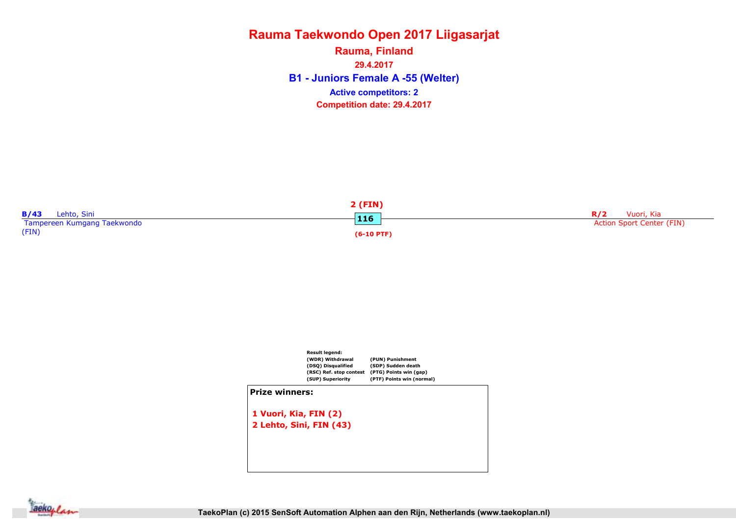B1 - Juniors Female A -55 (Welter) Rauma, Finland 29.4.2017 Competition date: 29.4.2017 Active competitors: 2





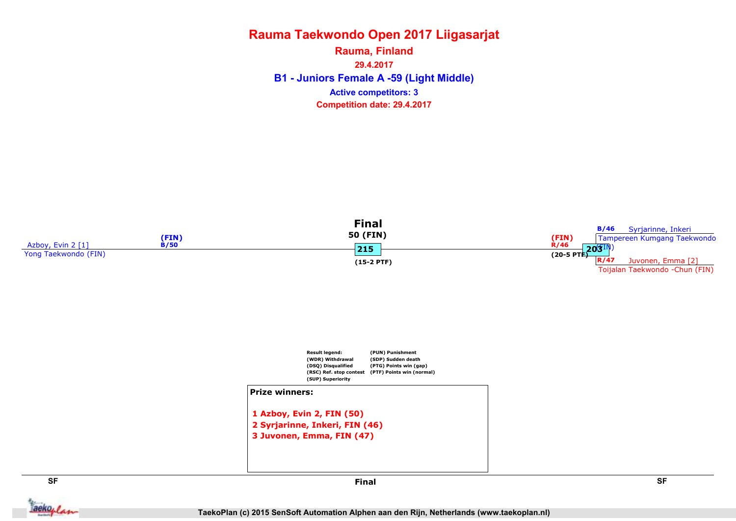B1 - Juniors Female A -59 (Light Middle) Rauma, Finland 29.4.2017 Competition date: 29.4.2017 Active competitors: 3







**Jackoplan** 

SF SF Final

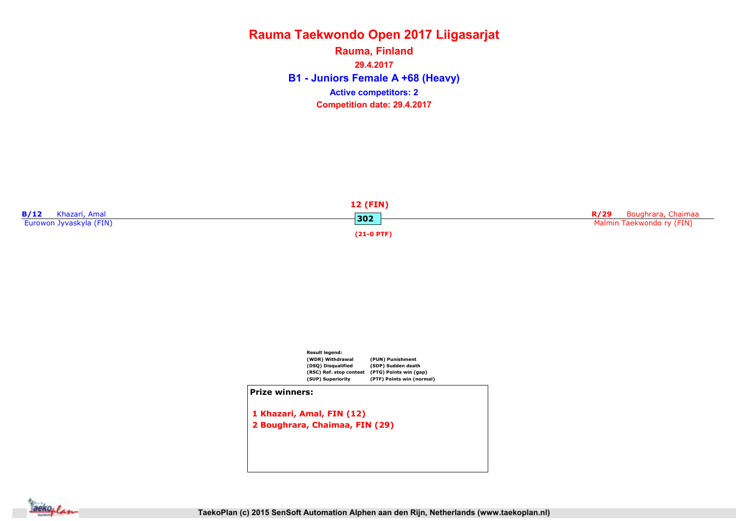B1 - Juniors Female A +68 (Heavy) Rauma, Finland 29.4.2017 Competition date: 29.4.2017 Active competitors: 2





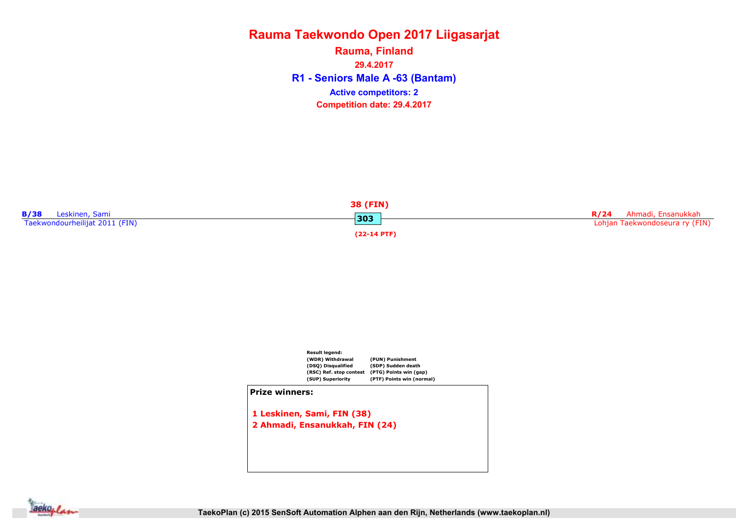R1 - Seniors Male A -63 (Bantam) Rauma, Finland 29.4.2017 Competition date: 29.4.2017 Active competitors: 2





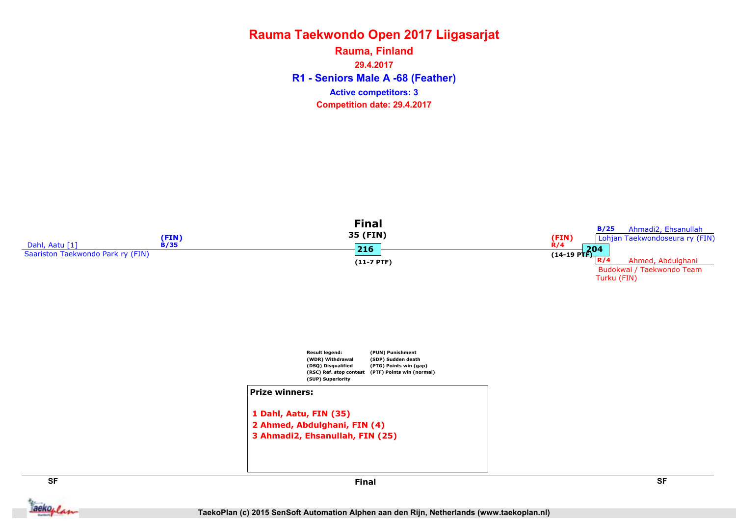R1 - Seniors Male A -68 (Feather) Rauma, Finland 29.4.2017 Competition date: 29.4.2017 Active competitors: 3

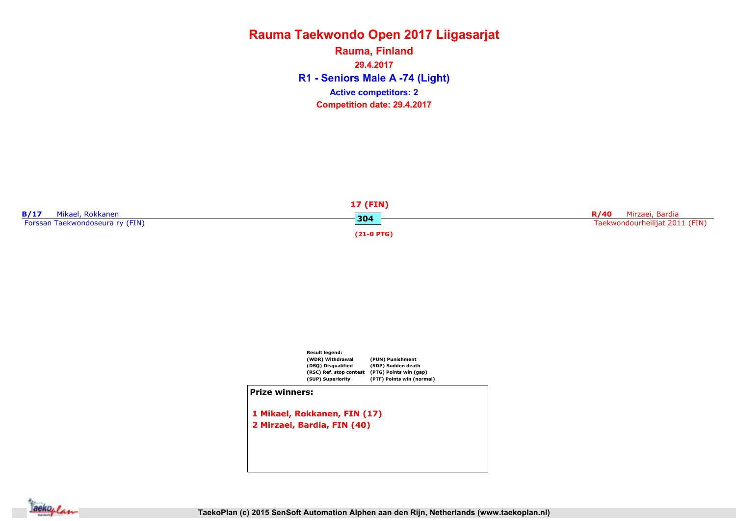R1 - Seniors Male A -74 (Light) Rauma, Finland 29.4.2017 Competition date: 29.4.2017 Active competitors: 2





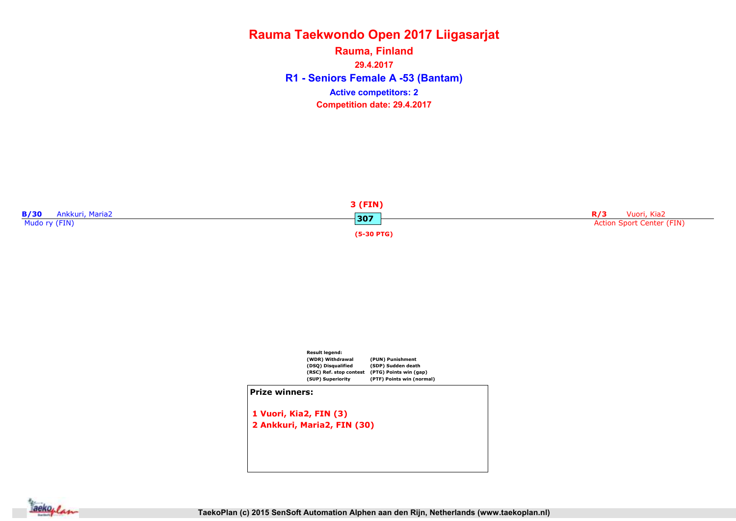R1 - Seniors Female A -53 (Bantam) Rauma, Finland 29.4.2017 Competition date: 29.4.2017 Active competitors: 2





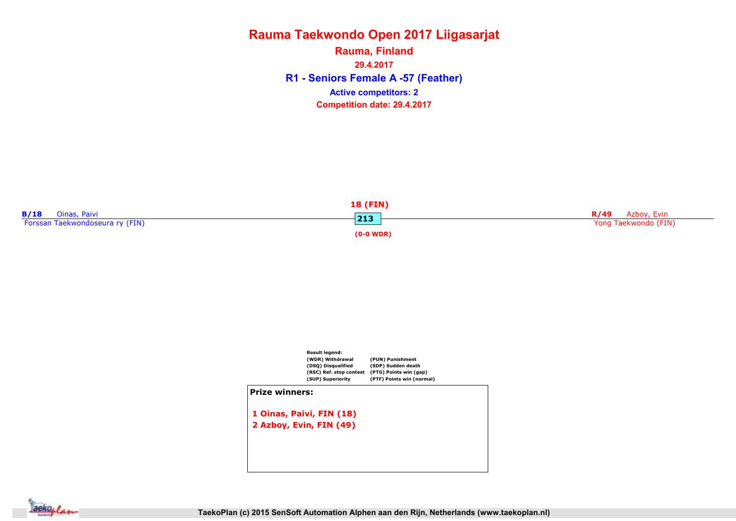R1 - Seniors Female A -57 (Feather) Rauma, Finland 29.4.2017 Competition date: 29.4.2017 Active competitors: 2





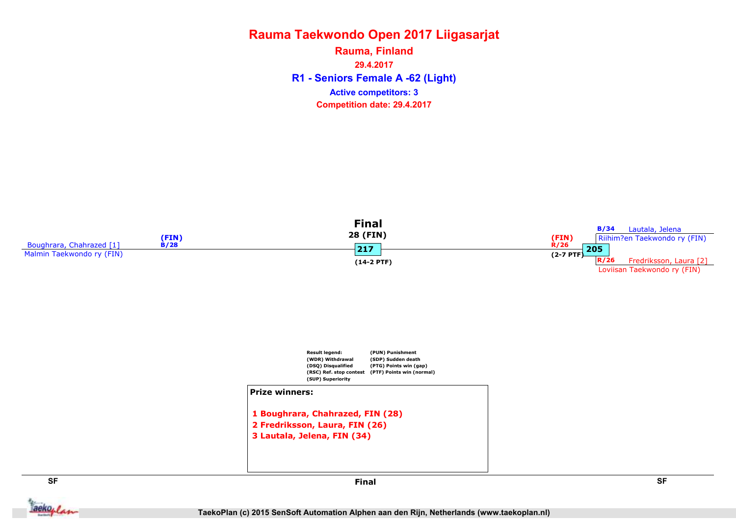R1 - Seniors Female A -62 (Light) Rauma, Finland 29.4.2017 Competition date: 29.4.2017 Active competitors: 3





```
1 Boughrara, Chahrazed, FIN (28)
2 Fredriksson, Laura, FIN (26)
3 Lautala, Jelena, FIN (34)
```


**Jackoplan** 

SF SF Final